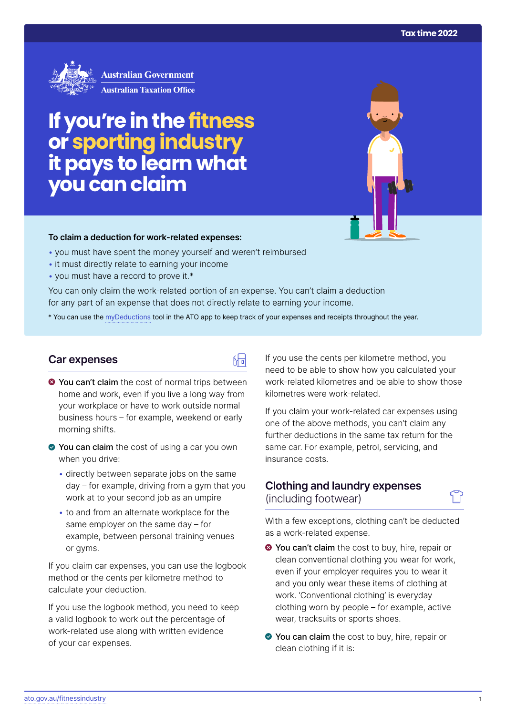

**Australian Government Australian Taxation Office** 

# **If you're in the fitness or sporting industry it pays to learn what you can claim**

### **To claim a deduction for work‑related expenses:**

- you must have spent the money yourself and weren't reimbursed
- it must directly relate to earning your income
- you must have a record to prove it.\*

You can only claim the work-related portion of an expense. You can't claim a deduction for any part of an expense that does not directly relate to earning your income.

\* You can use the [myDeductions](https://ato.gov.au/mydeductions) tool in the ATO app to keep track of your expenses and receipts throughout the year.

品

## **Car expenses**

- $\bullet$  You can't claim the cost of normal trips between home and work, even if you live a long way from your workplace or have to work outside normal business hours – for example, weekend or early morning shifts.
- ◆ You can claim the cost of using a car you own when you drive:
	- directly between separate jobs on the same day – for example, driving from a gym that you work at to your second job as an umpire
	- to and from an alternate workplace for the same employer on the same day – for example, between personal training venues or gyms.

If you claim car expenses, you can use the logbook method or the cents per kilometre method to calculate your deduction.

If you use the logbook method, you need to keep a valid logbook to work out the percentage of work-related use along with written evidence of your car expenses.

If you use the cents per kilometre method, you need to be able to show how you calculated your work-related kilometres and be able to show those kilometres were work-related.

If you claim your work-related car expenses using one of the above methods, you can't claim any further deductions in the same tax return for the same car. For example, petrol, servicing, and insurance costs.

## **Clothing and laundry expenses**  (including footwear)

With a few exceptions, clothing can't be deducted as a work-related expense.

- **◆ You can't claim** the cost to buy, hire, repair or clean conventional clothing you wear for work, even if your employer requires you to wear it and you only wear these items of clothing at work. 'Conventional clothing' is everyday clothing worn by people – for example, active wear, tracksuits or sports shoes.
- ◆ You can claim the cost to buy, hire, repair or clean clothing if it is: